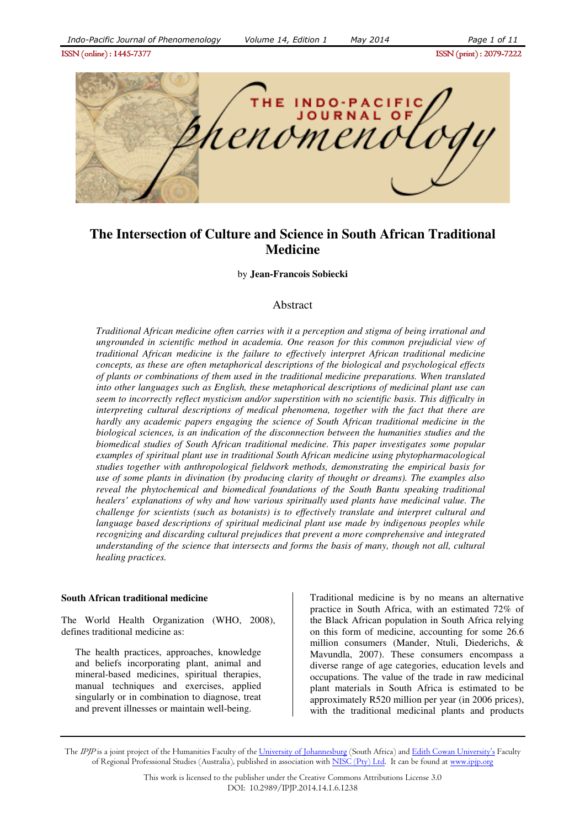

# **The Intersection of Culture and Science in South African Traditional Medicine**

by **Jean-Francois Sobiecki**

## Abstract

*Traditional African medicine often carries with it a perception and stigma of being irrational and ungrounded in scientific method in academia. One reason for this common prejudicial view of traditional African medicine is the failure to effectively interpret African traditional medicine concepts, as these are often metaphorical descriptions of the biological and psychological effects of plants or combinations of them used in the traditional medicine preparations. When translated into other languages such as English, these metaphorical descriptions of medicinal plant use can seem to incorrectly reflect mysticism and/or superstition with no scientific basis. This difficulty in interpreting cultural descriptions of medical phenomena, together with the fact that there are hardly any academic papers engaging the science of South African traditional medicine in the biological sciences, is an indication of the disconnection between the humanities studies and the biomedical studies of South African traditional medicine. This paper investigates some popular examples of spiritual plant use in traditional South African medicine using phytopharmacological studies together with anthropological fieldwork methods, demonstrating the empirical basis for use of some plants in divination (by producing clarity of thought or dreams). The examples also reveal the phytochemical and biomedical foundations of the South Bantu speaking traditional healers' explanations of why and how various spiritually used plants have medicinal value. The challenge for scientists (such as botanists) is to effectively translate and interpret cultural and language based descriptions of spiritual medicinal plant use made by indigenous peoples while recognizing and discarding cultural prejudices that prevent a more comprehensive and integrated understanding of the science that intersects and forms the basis of many, though not all, cultural healing practices.* 

#### **South African traditional medicine**

The World Health Organization (WHO, 2008), defines traditional medicine as:

The health practices, approaches, knowledge and beliefs incorporating plant, animal and mineral-based medicines, spiritual therapies, manual techniques and exercises, applied singularly or in combination to diagnose, treat and prevent illnesses or maintain well-being.

Traditional medicine is by no means an alternative practice in South Africa, with an estimated 72% of the Black African population in South Africa relying on this form of medicine, accounting for some 26.6 million consumers (Mander, Ntuli, Diederichs, & Mavundla, 2007). These consumers encompass a diverse range of age categories, education levels and occupations. The value of the trade in raw medicinal plant materials in South Africa is estimated to be approximately R520 million per year (in 2006 prices), with the traditional medicinal plants and products

The IPJP is a joint project of the Humanities Faculty of the University of Johannesburg (South Africa) and Edith Cowan University's Faculty of Regional Professional Studies (Australia), published in association with NISC (Pty) Ltd. It can be found at www.ipjp.org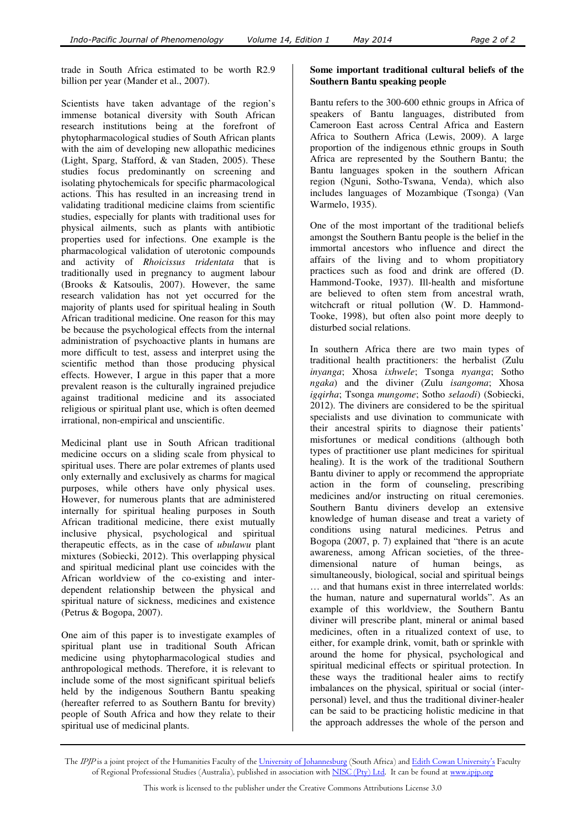trade in South Africa estimated to be worth R2.9 billion per year (Mander et al., 2007).

Scientists have taken advantage of the region's immense botanical diversity with South African research institutions being at the forefront of phytopharmacological studies of South African plants with the aim of developing new allopathic medicines (Light, Sparg, Stafford, & van Staden, 2005). These studies focus predominantly on screening and isolating phytochemicals for specific pharmacological actions. This has resulted in an increasing trend in validating traditional medicine claims from scientific studies, especially for plants with traditional uses for physical ailments, such as plants with antibiotic properties used for infections. One example is the pharmacological validation of uterotonic compounds and activity of *Rhoicissus tridentata* that is traditionally used in pregnancy to augment labour (Brooks & Katsoulis, 2007). However, the same research validation has not yet occurred for the majority of plants used for spiritual healing in South African traditional medicine. One reason for this may be because the psychological effects from the internal administration of psychoactive plants in humans are more difficult to test, assess and interpret using the scientific method than those producing physical effects. However, I argue in this paper that a more prevalent reason is the culturally ingrained prejudice against traditional medicine and its associated religious or spiritual plant use, which is often deemed irrational, non-empirical and unscientific.

Medicinal plant use in South African traditional medicine occurs on a sliding scale from physical to spiritual uses. There are polar extremes of plants used only externally and exclusively as charms for magical purposes, while others have only physical uses. However, for numerous plants that are administered internally for spiritual healing purposes in South African traditional medicine, there exist mutually inclusive physical, psychological and spiritual therapeutic effects, as in the case of *ubulawu* plant mixtures (Sobiecki, 2012). This overlapping physical and spiritual medicinal plant use coincides with the African worldview of the co-existing and interdependent relationship between the physical and spiritual nature of sickness, medicines and existence (Petrus & Bogopa, 2007).

One aim of this paper is to investigate examples of spiritual plant use in traditional South African medicine using phytopharmacological studies and anthropological methods. Therefore, it is relevant to include some of the most significant spiritual beliefs held by the indigenous Southern Bantu speaking (hereafter referred to as Southern Bantu for brevity) people of South Africa and how they relate to their spiritual use of medicinal plants.

## **Some important traditional cultural beliefs of the Southern Bantu speaking people**

Bantu refers to the 300-600 ethnic groups in Africa of speakers of Bantu languages, distributed from Cameroon East across Central Africa and Eastern Africa to Southern Africa (Lewis, 2009). A large proportion of the indigenous ethnic groups in South Africa are represented by the Southern Bantu; the Bantu languages spoken in the southern African region (Nguni, Sotho-Tswana, Venda), which also includes languages of Mozambique (Tsonga) (Van Warmelo, 1935).

One of the most important of the traditional beliefs amongst the Southern Bantu people is the belief in the immortal ancestors who influence and direct the affairs of the living and to whom propitiatory practices such as food and drink are offered (D. Hammond-Tooke, 1937). Ill-health and misfortune are believed to often stem from ancestral wrath, witchcraft or ritual pollution (W. D. Hammond-Tooke, 1998), but often also point more deeply to disturbed social relations.

In southern Africa there are two main types of traditional health practitioners: the herbalist (Zulu *inyanga*; Xhosa *ixhwele*; Tsonga *nyanga*; Sotho *ngaka*) and the diviner (Zulu *isangoma*; Xhosa *igqirha*; Tsonga *mungome*; Sotho *selaodi*) (Sobiecki, 2012). The diviners are considered to be the spiritual specialists and use divination to communicate with their ancestral spirits to diagnose their patients' misfortunes or medical conditions (although both types of practitioner use plant medicines for spiritual healing). It is the work of the traditional Southern Bantu diviner to apply or recommend the appropriate action in the form of counseling, prescribing medicines and/or instructing on ritual ceremonies. Southern Bantu diviners develop an extensive knowledge of human disease and treat a variety of conditions using natural medicines. Petrus and Bogopa (2007, p. 7) explained that "there is an acute awareness, among African societies, of the threedimensional nature of human beings, as simultaneously, biological, social and spiritual beings … and that humans exist in three interrelated worlds: the human, nature and supernatural worlds". As an example of this worldview, the Southern Bantu diviner will prescribe plant, mineral or animal based medicines, often in a ritualized context of use, to either, for example drink, vomit, bath or sprinkle with around the home for physical, psychological and spiritual medicinal effects or spiritual protection. In these ways the traditional healer aims to rectify imbalances on the physical, spiritual or social (interpersonal) level, and thus the traditional diviner-healer can be said to be practicing holistic medicine in that the approach addresses the whole of the person and

The IPJP is a joint project of the Humanities Faculty of the University of Johannesburg (South Africa) and Edith Cowan University's Faculty of Regional Professional Studies (Australia), published in association with NISC (Pty) Ltd. It can be found at www.ipjp.org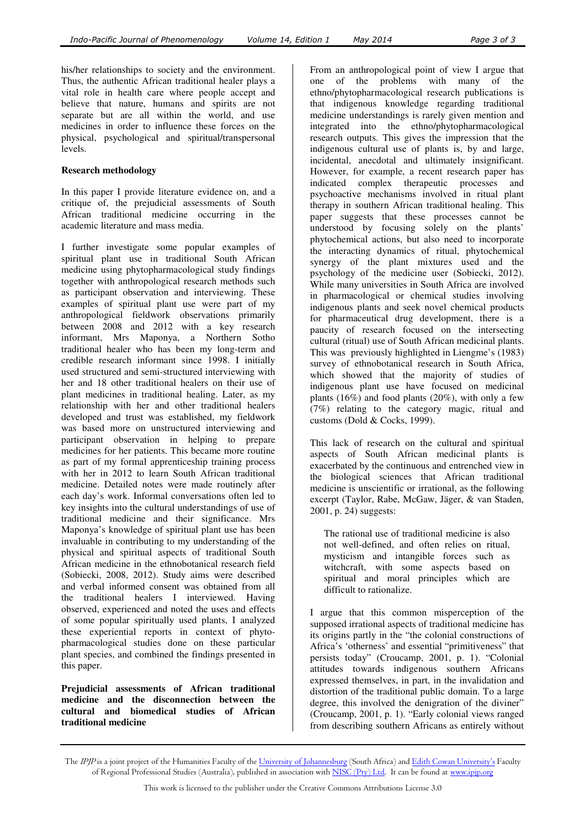his/her relationships to society and the environment. Thus, the authentic African traditional healer plays a vital role in health care where people accept and believe that nature, humans and spirits are not separate but are all within the world, and use medicines in order to influence these forces on the physical, psychological and spiritual/transpersonal levels.

## **Research methodology**

In this paper I provide literature evidence on, and a critique of, the prejudicial assessments of South African traditional medicine occurring in the academic literature and mass media.

I further investigate some popular examples of spiritual plant use in traditional South African medicine using phytopharmacological study findings together with anthropological research methods such as participant observation and interviewing. These examples of spiritual plant use were part of my anthropological fieldwork observations primarily between 2008 and 2012 with a key research informant, Mrs Maponya, a Northern Sotho traditional healer who has been my long-term and credible research informant since 1998. I initially used structured and semi-structured interviewing with her and 18 other traditional healers on their use of plant medicines in traditional healing. Later, as my relationship with her and other traditional healers developed and trust was established, my fieldwork was based more on unstructured interviewing and participant observation in helping to prepare medicines for her patients. This became more routine as part of my formal apprenticeship training process with her in 2012 to learn South African traditional medicine. Detailed notes were made routinely after each day's work. Informal conversations often led to key insights into the cultural understandings of use of traditional medicine and their significance. Mrs Maponya's knowledge of spiritual plant use has been invaluable in contributing to my understanding of the physical and spiritual aspects of traditional South African medicine in the ethnobotanical research field (Sobiecki, 2008, 2012). Study aims were described and verbal informed consent was obtained from all the traditional healers I interviewed. Having observed, experienced and noted the uses and effects of some popular spiritually used plants, I analyzed these experiential reports in context of phytopharmacological studies done on these particular plant species, and combined the findings presented in this paper.

**Prejudicial assessments of African traditional medicine and the disconnection between the cultural and biomedical studies of African traditional medicine** 

From an anthropological point of view I argue that one of the problems with many of the ethno/phytopharmacological research publications is that indigenous knowledge regarding traditional medicine understandings is rarely given mention and integrated into the ethno/phytopharmacological research outputs. This gives the impression that the indigenous cultural use of plants is, by and large, incidental, anecdotal and ultimately insignificant. However, for example, a recent research paper has indicated complex therapeutic processes and psychoactive mechanisms involved in ritual plant therapy in southern African traditional healing. This paper suggests that these processes cannot be understood by focusing solely on the plants' phytochemical actions, but also need to incorporate the interacting dynamics of ritual, phytochemical synergy of the plant mixtures used and the psychology of the medicine user (Sobiecki, 2012). While many universities in South Africa are involved in pharmacological or chemical studies involving indigenous plants and seek novel chemical products for pharmaceutical drug development, there is a paucity of research focused on the intersecting cultural (ritual) use of South African medicinal plants. This was previously highlighted in Liengme's (1983) survey of ethnobotanical research in South Africa, which showed that the majority of studies of indigenous plant use have focused on medicinal plants (16%) and food plants (20%), with only a few (7%) relating to the category magic, ritual and customs (Dold & Cocks, 1999).

This lack of research on the cultural and spiritual aspects of South African medicinal plants is exacerbated by the continuous and entrenched view in the biological sciences that African traditional medicine is unscientific or irrational, as the following excerpt (Taylor, Rabe, McGaw, Jäger, & van Staden, 2001, p. 24) suggests:

The rational use of traditional medicine is also not well-defined, and often relies on ritual, mysticism and intangible forces such as witchcraft, with some aspects based on spiritual and moral principles which are difficult to rationalize.

I argue that this common misperception of the supposed irrational aspects of traditional medicine has its origins partly in the "the colonial constructions of Africa's 'otherness' and essential "primitiveness" that persists today" (Croucamp, 2001, p. 1). "Colonial attitudes towards indigenous southern Africans expressed themselves, in part, in the invalidation and distortion of the traditional public domain. To a large degree, this involved the denigration of the diviner" (Croucamp, 2001, p. 1). "Early colonial views ranged from describing southern Africans as entirely without

The IPJP is a joint project of the Humanities Faculty of the University of Johannesburg (South Africa) and Edith Cowan University's Faculty of Regional Professional Studies (Australia), published in association with NISC (Pty) Ltd. It can be found at www.ipjp.org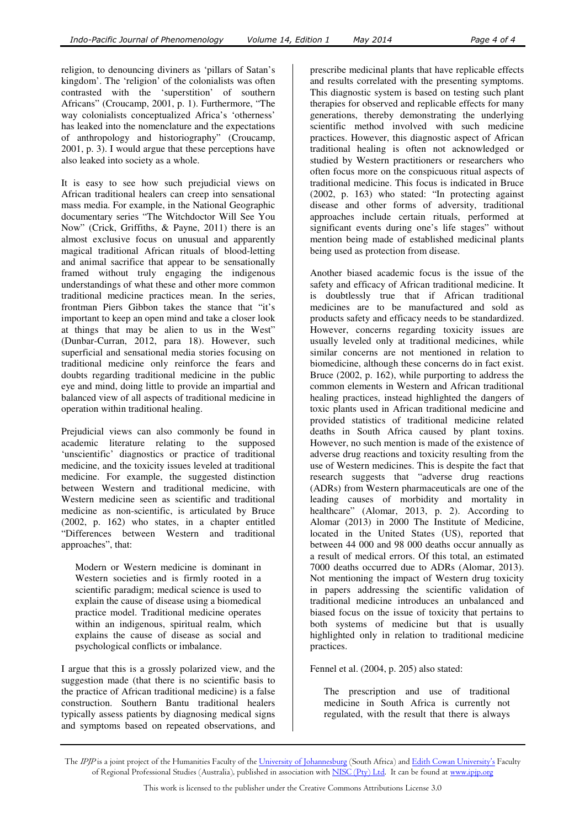religion, to denouncing diviners as 'pillars of Satan's kingdom'. The 'religion' of the colonialists was often contrasted with the 'superstition' of southern Africans" (Croucamp, 2001, p. 1). Furthermore, "The way colonialists conceptualized Africa's 'otherness' has leaked into the nomenclature and the expectations of anthropology and historiography" (Croucamp, 2001, p. 3). I would argue that these perceptions have also leaked into society as a whole.

It is easy to see how such prejudicial views on African traditional healers can creep into sensational mass media. For example, in the National Geographic documentary series "The Witchdoctor Will See You Now" (Crick, Griffiths, & Payne, 2011) there is an almost exclusive focus on unusual and apparently magical traditional African rituals of blood-letting and animal sacrifice that appear to be sensationally framed without truly engaging the indigenous understandings of what these and other more common traditional medicine practices mean. In the series, frontman Piers Gibbon takes the stance that "it's important to keep an open mind and take a closer look at things that may be alien to us in the West" (Dunbar-Curran, 2012, para 18). However, such superficial and sensational media stories focusing on traditional medicine only reinforce the fears and doubts regarding traditional medicine in the public eye and mind, doing little to provide an impartial and balanced view of all aspects of traditional medicine in operation within traditional healing.

Prejudicial views can also commonly be found in academic literature relating to the supposed 'unscientific' diagnostics or practice of traditional medicine, and the toxicity issues leveled at traditional medicine. For example, the suggested distinction between Western and traditional medicine, with Western medicine seen as scientific and traditional medicine as non-scientific, is articulated by Bruce (2002, p. 162) who states, in a chapter entitled "Differences between Western and traditional approaches", that:

Modern or Western medicine is dominant in Western societies and is firmly rooted in a scientific paradigm; medical science is used to explain the cause of disease using a biomedical practice model. Traditional medicine operates within an indigenous, spiritual realm, which explains the cause of disease as social and psychological conflicts or imbalance.

I argue that this is a grossly polarized view, and the suggestion made (that there is no scientific basis to the practice of African traditional medicine) is a false construction. Southern Bantu traditional healers typically assess patients by diagnosing medical signs and symptoms based on repeated observations, and

prescribe medicinal plants that have replicable effects and results correlated with the presenting symptoms. This diagnostic system is based on testing such plant therapies for observed and replicable effects for many generations, thereby demonstrating the underlying scientific method involved with such medicine practices. However, this diagnostic aspect of African traditional healing is often not acknowledged or studied by Western practitioners or researchers who often focus more on the conspicuous ritual aspects of traditional medicine. This focus is indicated in Bruce (2002, p. 163) who stated: "In protecting against disease and other forms of adversity, traditional approaches include certain rituals, performed at significant events during one's life stages" without mention being made of established medicinal plants being used as protection from disease.

Another biased academic focus is the issue of the safety and efficacy of African traditional medicine. It is doubtlessly true that if African traditional medicines are to be manufactured and sold as products safety and efficacy needs to be standardized. However, concerns regarding toxicity issues are usually leveled only at traditional medicines, while similar concerns are not mentioned in relation to biomedicine, although these concerns do in fact exist. Bruce (2002, p. 162), while purporting to address the common elements in Western and African traditional healing practices, instead highlighted the dangers of toxic plants used in African traditional medicine and provided statistics of traditional medicine related deaths in South Africa caused by plant toxins. However, no such mention is made of the existence of adverse drug reactions and toxicity resulting from the use of Western medicines. This is despite the fact that research suggests that "adverse drug reactions (ADRs) from Western pharmaceuticals are one of the leading causes of morbidity and mortality in healthcare" (Alomar, 2013, p. 2). According to Alomar (2013) in 2000 The Institute of Medicine, located in the United States (US), reported that between 44 000 and 98 000 deaths occur annually as a result of medical errors. Of this total, an estimated 7000 deaths occurred due to ADRs (Alomar, 2013). Not mentioning the impact of Western drug toxicity in papers addressing the scientific validation of traditional medicine introduces an unbalanced and biased focus on the issue of toxicity that pertains to both systems of medicine but that is usually highlighted only in relation to traditional medicine practices.

Fennel et al. (2004, p. 205) also stated:

The prescription and use of traditional medicine in South Africa is currently not regulated, with the result that there is always

The IPJP is a joint project of the Humanities Faculty of the University of Johannesburg (South Africa) and Edith Cowan University's Faculty of Regional Professional Studies (Australia), published in association with NISC (Pty) Ltd. It can be found at www.ipjp.org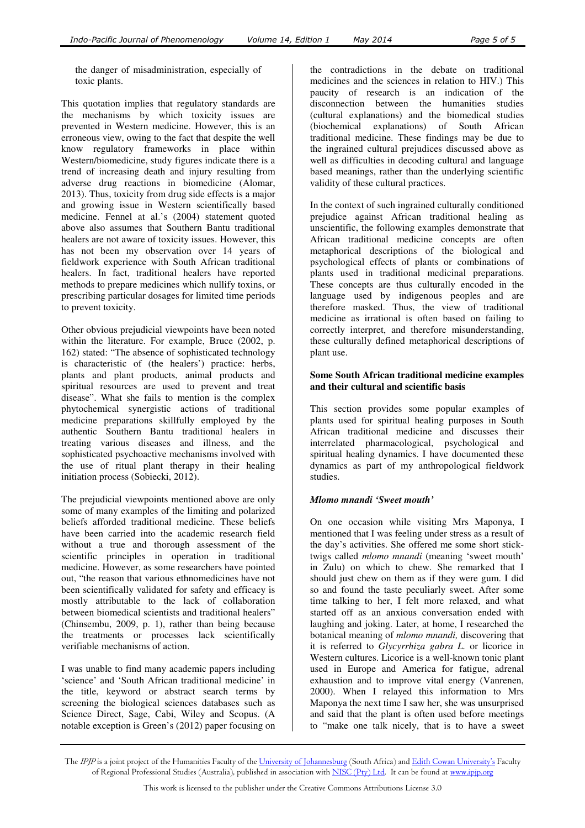the danger of misadministration, especially of toxic plants.

This quotation implies that regulatory standards are the mechanisms by which toxicity issues are prevented in Western medicine. However, this is an erroneous view, owing to the fact that despite the well know regulatory frameworks in place within Western/biomedicine, study figures indicate there is a trend of increasing death and injury resulting from adverse drug reactions in biomedicine (Alomar, 2013). Thus, toxicity from drug side effects is a major and growing issue in Western scientifically based medicine. Fennel at al.'s (2004) statement quoted above also assumes that Southern Bantu traditional healers are not aware of toxicity issues. However, this has not been my observation over 14 years of fieldwork experience with South African traditional healers. In fact, traditional healers have reported methods to prepare medicines which nullify toxins, or prescribing particular dosages for limited time periods to prevent toxicity.

Other obvious prejudicial viewpoints have been noted within the literature. For example, Bruce (2002, p. 162) stated: "The absence of sophisticated technology is characteristic of (the healers') practice: herbs, plants and plant products, animal products and spiritual resources are used to prevent and treat disease". What she fails to mention is the complex phytochemical synergistic actions of traditional medicine preparations skillfully employed by the authentic Southern Bantu traditional healers in treating various diseases and illness, and the sophisticated psychoactive mechanisms involved with the use of ritual plant therapy in their healing initiation process (Sobiecki, 2012).

The prejudicial viewpoints mentioned above are only some of many examples of the limiting and polarized beliefs afforded traditional medicine. These beliefs have been carried into the academic research field without a true and thorough assessment of the scientific principles in operation in traditional medicine. However, as some researchers have pointed out, "the reason that various ethnomedicines have not been scientifically validated for safety and efficacy is mostly attributable to the lack of collaboration between biomedical scientists and traditional healers" (Chinsembu, 2009, p. 1), rather than being because the treatments or processes lack scientifically verifiable mechanisms of action.

I was unable to find many academic papers including 'science' and 'South African traditional medicine' in the title, keyword or abstract search terms by screening the biological sciences databases such as Science Direct, Sage, Cabi, Wiley and Scopus. (A notable exception is Green's (2012) paper focusing on

the contradictions in the debate on traditional medicines and the sciences in relation to HIV.) This paucity of research is an indication of the disconnection between the humanities studies (cultural explanations) and the biomedical studies (biochemical explanations) of South African traditional medicine. These findings may be due to the ingrained cultural prejudices discussed above as well as difficulties in decoding cultural and language based meanings, rather than the underlying scientific validity of these cultural practices.

In the context of such ingrained culturally conditioned prejudice against African traditional healing as unscientific, the following examples demonstrate that African traditional medicine concepts are often metaphorical descriptions of the biological and psychological effects of plants or combinations of plants used in traditional medicinal preparations. These concepts are thus culturally encoded in the language used by indigenous peoples and are therefore masked. Thus, the view of traditional medicine as irrational is often based on failing to correctly interpret, and therefore misunderstanding, these culturally defined metaphorical descriptions of plant use.

## **Some South African traditional medicine examples and their cultural and scientific basis**

This section provides some popular examples of plants used for spiritual healing purposes in South African traditional medicine and discusses their interrelated pharmacological, psychological and spiritual healing dynamics. I have documented these dynamics as part of my anthropological fieldwork studies.

## *Mlomo mnandi 'Sweet mouth'*

On one occasion while visiting Mrs Maponya, I mentioned that I was feeling under stress as a result of the day's activities. She offered me some short sticktwigs called *mlomo mnandi* (meaning 'sweet mouth' in Zulu) on which to chew. She remarked that I should just chew on them as if they were gum. I did so and found the taste peculiarly sweet. After some time talking to her, I felt more relaxed, and what started off as an anxious conversation ended with laughing and joking. Later, at home, I researched the botanical meaning of *mlomo mnandi,* discovering that it is referred to *Glycyrrhiza gabra L.* or licorice in Western cultures. Licorice is a well-known tonic plant used in Europe and America for fatigue, adrenal exhaustion and to improve vital energy (Vanrenen, 2000). When I relayed this information to Mrs Maponya the next time I saw her, she was unsurprised and said that the plant is often used before meetings to "make one talk nicely, that is to have a sweet

The IPJP is a joint project of the Humanities Faculty of the University of Johannesburg (South Africa) and Edith Cowan University's Faculty of Regional Professional Studies (Australia), published in association with NISC (Pty) Ltd. It can be found at www.ipjp.org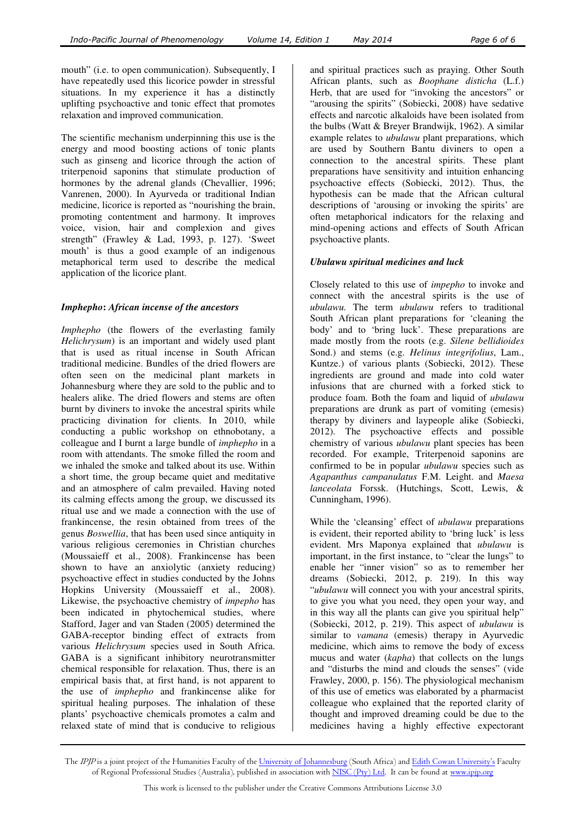mouth" (i.e. to open communication). Subsequently, I have repeatedly used this licorice powder in stressful situations. In my experience it has a distinctly uplifting psychoactive and tonic effect that promotes relaxation and improved communication.

The scientific mechanism underpinning this use is the energy and mood boosting actions of tonic plants such as ginseng and licorice through the action of triterpenoid saponins that stimulate production of hormones by the adrenal glands (Chevallier, 1996; Vanrenen, 2000). In Ayurveda or traditional Indian medicine, licorice is reported as "nourishing the brain, promoting contentment and harmony. It improves voice, vision, hair and complexion and gives strength" (Frawley & Lad, 1993, p. 127). 'Sweet mouth' is thus a good example of an indigenous metaphorical term used to describe the medical application of the licorice plant.

#### *Imphepho***:** *African incense of the ancestors*

*Imphepho* (the flowers of the everlasting family *Helichrysum*) is an important and widely used plant that is used as ritual incense in South African traditional medicine. Bundles of the dried flowers are often seen on the medicinal plant markets in Johannesburg where they are sold to the public and to healers alike. The dried flowers and stems are often burnt by diviners to invoke the ancestral spirits while practicing divination for clients. In 2010, while conducting a public workshop on ethnobotany, a colleague and I burnt a large bundle of *imphepho* in a room with attendants. The smoke filled the room and we inhaled the smoke and talked about its use. Within a short time, the group became quiet and meditative and an atmosphere of calm prevailed. Having noted its calming effects among the group, we discussed its ritual use and we made a connection with the use of frankincense, the resin obtained from trees of the genus *Boswellia*, that has been used since antiquity in various religious ceremonies in Christian churches (Moussaieff et al., 2008). Frankincense has been shown to have an anxiolytic (anxiety reducing) psychoactive effect in studies conducted by the Johns Hopkins University (Moussaieff et al., 2008). Likewise, the psychoactive chemistry of *impepho* has been indicated in phytochemical studies, where Stafford, Jager and van Staden (2005) determined the GABA-receptor binding effect of extracts from various *Helichrysum* species used in South Africa. GABA is a significant inhibitory neurotransmitter chemical responsible for relaxation. Thus, there is an empirical basis that, at first hand, is not apparent to the use of *imphepho* and frankincense alike for spiritual healing purposes. The inhalation of these plants' psychoactive chemicals promotes a calm and relaxed state of mind that is conducive to religious

and spiritual practices such as praying. Other South African plants, such as *Boophane disticha* (L.f.) Herb, that are used for "invoking the ancestors" or "arousing the spirits" (Sobiecki, 2008) have sedative effects and narcotic alkaloids have been isolated from the bulbs (Watt & Breyer Brandwijk, 1962). A similar example relates to *ubulawu* plant preparations, which are used by Southern Bantu diviners to open a connection to the ancestral spirits. These plant preparations have sensitivity and intuition enhancing psychoactive effects (Sobiecki, 2012). Thus, the hypothesis can be made that the African cultural descriptions of 'arousing or invoking the spirits' are often metaphorical indicators for the relaxing and mind-opening actions and effects of South African psychoactive plants.

### *Ubulawu spiritual medicines and luck*

Closely related to this use of *impepho* to invoke and connect with the ancestral spirits is the use of *ubulawu.* The term *ubulawu* refers to traditional South African plant preparations for 'cleaning the body' and to 'bring luck'. These preparations are made mostly from the roots (e.g. *Silene bellidioides*  Sond.) and stems (e.g. *Helinus integrifolius*, Lam., Kuntze.) of various plants (Sobiecki, 2012). These ingredients are ground and made into cold water infusions that are churned with a forked stick to produce foam. Both the foam and liquid of *ubulawu*  preparations are drunk as part of vomiting (emesis) therapy by diviners and laypeople alike (Sobiecki, 2012). The psychoactive effects and possible chemistry of various *ubulawu* plant species has been recorded. For example, Triterpenoid saponins are confirmed to be in popular *ubulawu* species such as *Agapanthus campanulatus* F.M. Leight. and *Maesa lanceolata* Forssk. (Hutchings, Scott, Lewis, & Cunningham, 1996).

While the 'cleansing' effect of *ubulawu* preparations is evident, their reported ability to 'bring luck' is less evident. Mrs Maponya explained that *ubulawu* is important, in the first instance, to "clear the lungs" to enable her "inner vision" so as to remember her dreams (Sobiecki, 2012, p. 219). In this way "*ubulawu* will connect you with your ancestral spirits, to give you what you need, they open your way, and in this way all the plants can give you spiritual help" (Sobiecki, 2012, p. 219). This aspect of *ubulawu* is similar to *vamana* (emesis) therapy in Ayurvedic medicine, which aims to remove the body of excess mucus and water (*kapha*) that collects on the lungs and "disturbs the mind and clouds the senses" (vide Frawley, 2000, p. 156). The physiological mechanism of this use of emetics was elaborated by a pharmacist colleague who explained that the reported clarity of thought and improved dreaming could be due to the medicines having a highly effective expectorant

The *IPJP* is a joint project of the Humanities Faculty of the <u>University of Johannesburg</u> (South Africa) and <u>Edith Cowan University's</u> Faculty of Regional Professional Studies (Australia), published in association with <u>NISC (Pty) Ltd</u>. It can be found at <u>www.ipjp.org</u>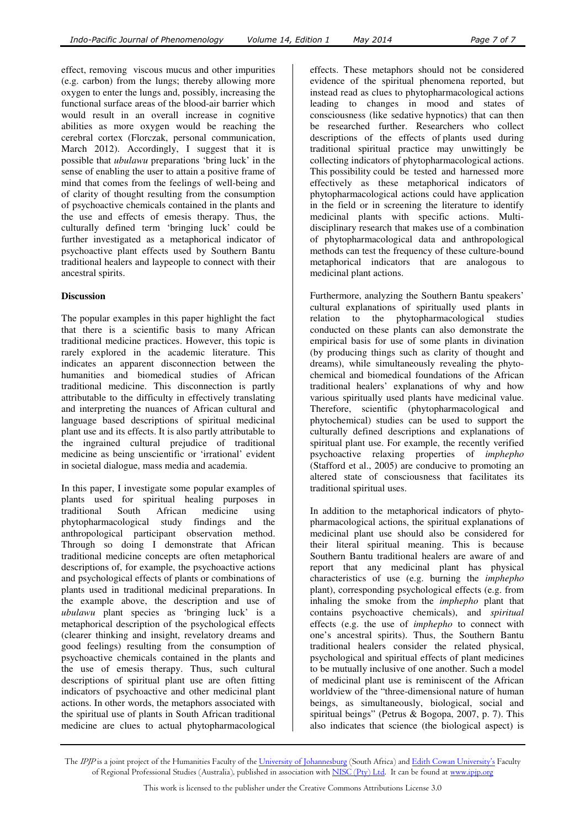effect, removing viscous mucus and other impurities (e.g. carbon) from the lungs; thereby allowing more oxygen to enter the lungs and, possibly, increasing the functional surface areas of the blood-air barrier which would result in an overall increase in cognitive abilities as more oxygen would be reaching the cerebral cortex (Florczak, personal communication, March 2012). Accordingly, I suggest that it is possible that *ubulawu* preparations 'bring luck' in the sense of enabling the user to attain a positive frame of mind that comes from the feelings of well-being and of clarity of thought resulting from the consumption of psychoactive chemicals contained in the plants and the use and effects of emesis therapy. Thus, the culturally defined term 'bringing luck' could be further investigated as a metaphorical indicator of psychoactive plant effects used by Southern Bantu traditional healers and laypeople to connect with their ancestral spirits.

## **Discussion**

The popular examples in this paper highlight the fact that there is a scientific basis to many African traditional medicine practices. However, this topic is rarely explored in the academic literature. This indicates an apparent disconnection between the humanities and biomedical studies of African traditional medicine. This disconnection is partly attributable to the difficulty in effectively translating and interpreting the nuances of African cultural and language based descriptions of spiritual medicinal plant use and its effects. It is also partly attributable to the ingrained cultural prejudice of traditional medicine as being unscientific or 'irrational' evident in societal dialogue, mass media and academia.

In this paper, I investigate some popular examples of plants used for spiritual healing purposes in traditional South African medicine using phytopharmacological study findings and the anthropological participant observation method. Through so doing I demonstrate that African traditional medicine concepts are often metaphorical descriptions of, for example, the psychoactive actions and psychological effects of plants or combinations of plants used in traditional medicinal preparations. In the example above, the description and use of *ubulawu* plant species as 'bringing luck' is a metaphorical description of the psychological effects (clearer thinking and insight, revelatory dreams and good feelings) resulting from the consumption of psychoactive chemicals contained in the plants and the use of emesis therapy. Thus, such cultural descriptions of spiritual plant use are often fitting indicators of psychoactive and other medicinal plant actions. In other words, the metaphors associated with the spiritual use of plants in South African traditional medicine are clues to actual phytopharmacological

effects. These metaphors should not be considered evidence of the spiritual phenomena reported, but instead read as clues to phytopharmacological actions leading to changes in mood and states of consciousness (like sedative hypnotics) that can then be researched further. Researchers who collect descriptions of the effects of plants used during traditional spiritual practice may unwittingly be collecting indicators of phytopharmacological actions. This possibility could be tested and harnessed more effectively as these metaphorical indicators of phytopharmacological actions could have application in the field or in screening the literature to identify medicinal plants with specific actions. Multidisciplinary research that makes use of a combination of phytopharmacological data and anthropological methods can test the frequency of these culture-bound metaphorical indicators that are analogous to medicinal plant actions.

Furthermore, analyzing the Southern Bantu speakers' cultural explanations of spiritually used plants in relation to the phytopharmacological studies conducted on these plants can also demonstrate the empirical basis for use of some plants in divination (by producing things such as clarity of thought and dreams), while simultaneously revealing the phytochemical and biomedical foundations of the African traditional healers' explanations of why and how various spiritually used plants have medicinal value. Therefore, scientific (phytopharmacological and phytochemical) studies can be used to support the culturally defined descriptions and explanations of spiritual plant use. For example, the recently verified psychoactive relaxing properties of *imphepho* (Stafford et al., 2005) are conducive to promoting an altered state of consciousness that facilitates its traditional spiritual uses.

In addition to the metaphorical indicators of phytopharmacological actions, the spiritual explanations of medicinal plant use should also be considered for their literal spiritual meaning. This is because Southern Bantu traditional healers are aware of and report that any medicinal plant has physical characteristics of use (e.g. burning the *imphepho*  plant), corresponding psychological effects (e.g. from inhaling the smoke from the *imphepho* plant that contains psychoactive chemicals), and *spiritual* effects (e.g. the use of *imphepho* to connect with one's ancestral spirits). Thus, the Southern Bantu traditional healers consider the related physical, psychological and spiritual effects of plant medicines to be mutually inclusive of one another. Such a model of medicinal plant use is reminiscent of the African worldview of the "three-dimensional nature of human beings, as simultaneously, biological, social and spiritual beings" (Petrus & Bogopa, 2007, p. 7). This also indicates that science (the biological aspect) is

The IPJP is a joint project of the Humanities Faculty of the University of Johannesburg (South Africa) and Edith Cowan University's Faculty of Regional Professional Studies (Australia), published in association with NISC (Pty) Ltd. It can be found at www.ipjp.org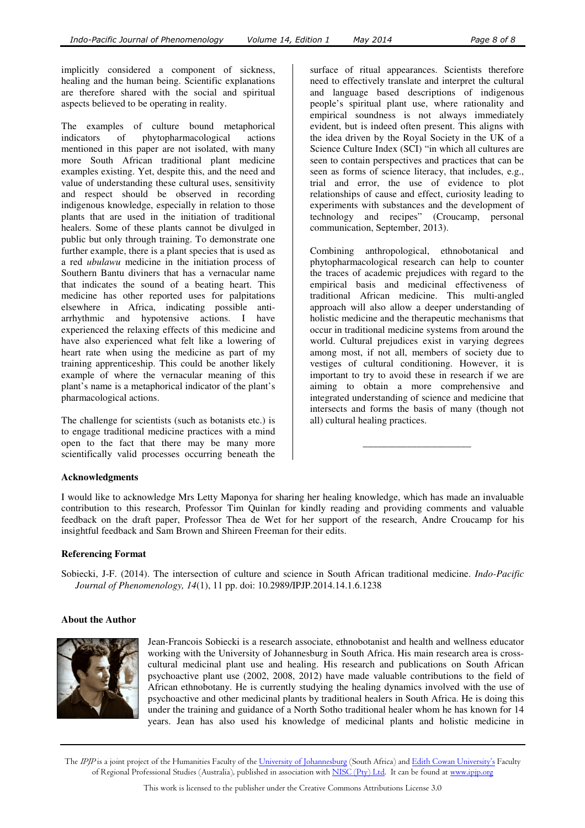implicitly considered a component of sickness, healing and the human being. Scientific explanations are therefore shared with the social and spiritual aspects believed to be operating in reality.

The examples of culture bound metaphorical indicators of phytopharmacological actions mentioned in this paper are not isolated, with many more South African traditional plant medicine examples existing. Yet, despite this, and the need and value of understanding these cultural uses, sensitivity and respect should be observed in recording indigenous knowledge, especially in relation to those plants that are used in the initiation of traditional healers. Some of these plants cannot be divulged in public but only through training. To demonstrate one further example, there is a plant species that is used as a red *ubulawu* medicine in the initiation process of Southern Bantu diviners that has a vernacular name that indicates the sound of a beating heart. This medicine has other reported uses for palpitations elsewhere in Africa, indicating possible antiarrhythmic and hypotensive actions. I have experienced the relaxing effects of this medicine and have also experienced what felt like a lowering of heart rate when using the medicine as part of my training apprenticeship. This could be another likely example of where the vernacular meaning of this plant's name is a metaphorical indicator of the plant's pharmacological actions.

The challenge for scientists (such as botanists etc.) is to engage traditional medicine practices with a mind open to the fact that there may be many more scientifically valid processes occurring beneath the

surface of ritual appearances. Scientists therefore need to effectively translate and interpret the cultural and language based descriptions of indigenous people's spiritual plant use, where rationality and empirical soundness is not always immediately evident, but is indeed often present. This aligns with the idea driven by the Royal Society in the UK of a Science Culture Index (SCI) "in which all cultures are seen to contain perspectives and practices that can be seen as forms of science literacy, that includes, e.g., trial and error, the use of evidence to plot relationships of cause and effect, curiosity leading to experiments with substances and the development of technology and recipes" (Croucamp, personal communication, September, 2013).

Combining anthropological, ethnobotanical and phytopharmacological research can help to counter the traces of academic prejudices with regard to the empirical basis and medicinal effectiveness of traditional African medicine. This multi-angled approach will also allow a deeper understanding of holistic medicine and the therapeutic mechanisms that occur in traditional medicine systems from around the world. Cultural prejudices exist in varying degrees among most, if not all, members of society due to vestiges of cultural conditioning. However, it is important to try to avoid these in research if we are aiming to obtain a more comprehensive and integrated understanding of science and medicine that intersects and forms the basis of many (though not all) cultural healing practices.

\_\_\_\_\_\_\_\_\_\_\_\_\_\_\_\_\_\_\_\_\_\_

## **Acknowledgments**

I would like to acknowledge Mrs Letty Maponya for sharing her healing knowledge, which has made an invaluable contribution to this research, Professor Tim Quinlan for kindly reading and providing comments and valuable feedback on the draft paper, Professor Thea de Wet for her support of the research, Andre Croucamp for his insightful feedback and Sam Brown and Shireen Freeman for their edits.

#### **Referencing Format**

Sobiecki, J-F. (2014). The intersection of culture and science in South African traditional medicine. *Indo-Pacific Journal of Phenomenology, 14*(1), 11 pp. doi: 10.2989/IPJP.2014.14.1.6.1238

#### **About the Author**



Jean-Francois Sobiecki is a research associate, ethnobotanist and health and wellness educator working with the University of Johannesburg in South Africa. His main research area is crosscultural medicinal plant use and healing. His research and publications on South African psychoactive plant use (2002, 2008, 2012) have made valuable contributions to the field of African ethnobotany. He is currently studying the healing dynamics involved with the use of psychoactive and other medicinal plants by traditional healers in South Africa. He is doing this under the training and guidance of a North Sotho traditional healer whom he has known for 14 years. Jean has also used his knowledge of medicinal plants and holistic medicine in

The *IPJP* is a joint project of the Humanities Faculty of the <u>University of Johannesburg</u> (South Africa) and <u>Edith Cowan University's</u> Faculty of Regional Professional Studies (Australia), published in association with <u>NISC (Pty) Ltd</u>. It can be found at <u>www.ipjp.org</u>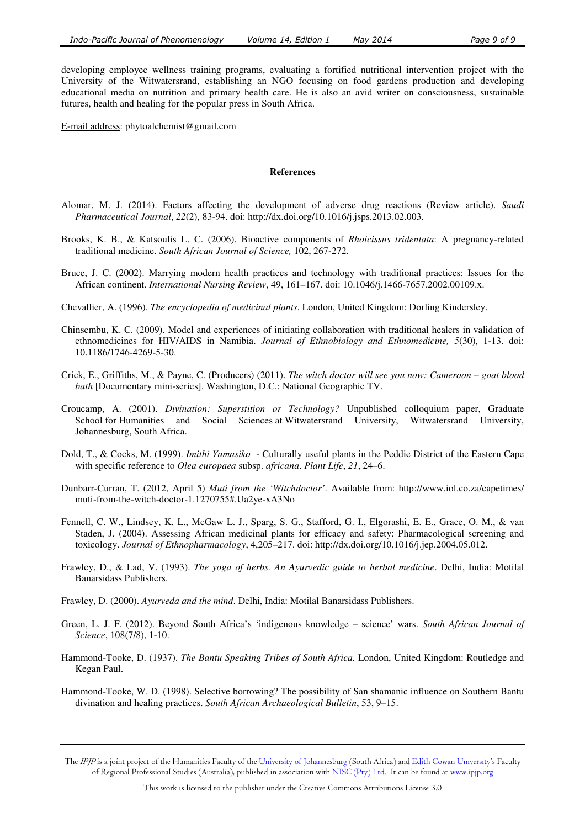developing employee wellness training programs, evaluating a fortified nutritional intervention project with the University of the Witwatersrand, establishing an NGO focusing on food gardens production and developing educational media on nutrition and primary health care. He is also an avid writer on consciousness, sustainable futures, health and healing for the popular press in South Africa.

E-mail address: phytoalchemist@gmail.com

#### **References**

- Alomar, M. J. (2014). Factors affecting the development of adverse drug reactions (Review article). *Saudi Pharmaceutical Journal*, *22*(2), 83-94. doi: http://dx.doi.org/10.1016/j.jsps.2013.02.003.
- Brooks, K. B., & Katsoulis L. C. (2006). Bioactive components of *Rhoicissus tridentata*: A pregnancy-related traditional medicine. *South African Journal of Science,* 102, 267-272.
- Bruce, J. C. (2002). Marrying modern health practices and technology with traditional practices: Issues for the African continent. *International Nursing Review*, 49, 161–167. doi: 10.1046/j.1466-7657.2002.00109.x.
- Chevallier, A. (1996). *The encyclopedia of medicinal plants*. London, United Kingdom: Dorling Kindersley.
- Chinsembu, K. C. (2009). Model and experiences of initiating collaboration with traditional healers in validation of ethnomedicines for HIV/AIDS in Namibia. *Journal of Ethnobiology and Ethnomedicine, 5*(30), 1-13. doi: 10.1186/1746-4269-5-30.
- Crick, E., Griffiths, M., & Payne, C. (Producers) (2011). *The witch doctor will see you now: Cameroon goat blood bath* [Documentary mini-series]. Washington, D.C.: National Geographic TV.
- Croucamp, A. (2001). *Divination: Superstition or Technology?* Unpublished colloquium paper, Graduate School for Humanities and Social Sciences at Witwatersrand University, Witwatersrand University, Johannesburg, South Africa.
- Dold, T., & Cocks, M. (1999). *Imithi Yamasiko*  Culturally useful plants in the Peddie District of the Eastern Cape with specific reference to *Olea europaea* subsp. *africana*. *Plant Life*, *21*, 24–6.
- Dunbarr-Curran, T. (2012, April 5) *Muti from the 'Witchdoctor'*. Available from: http://www.iol.co.za/capetimes/ muti-from-the-witch-doctor-1.1270755#.Ua2ye-xA3No
- Fennell, C. W., Lindsey, K. L., McGaw L. J., Sparg, S. G., Stafford, G. I., Elgorashi, E. E., Grace, O. M., & van Staden, J. (2004). Assessing African medicinal plants for efficacy and safety: Pharmacological screening and toxicology. *Journal of Ethnopharmacology*, 4,205–217. doi: http://dx.doi.org/10.1016/j.jep.2004.05.012.
- Frawley, D., & Lad, V. (1993). *The yoga of herbs. An Ayurvedic guide to herbal medicine*. Delhi, India: Motilal Banarsidass Publishers.
- Frawley, D. (2000). *Ayurveda and the mind*. Delhi, India: Motilal Banarsidass Publishers.
- Green, L. J. F. (2012). Beyond South Africa's 'indigenous knowledge science' wars. *South African Journal of Science*, 108(7/8), 1-10.
- Hammond-Tooke, D. (1937). *The Bantu Speaking Tribes of South Africa.* London, United Kingdom: Routledge and Kegan Paul.
- Hammond-Tooke, W. D. (1998). Selective borrowing? The possibility of San shamanic influence on Southern Bantu divination and healing practices. *South African Archaeological Bulletin*, 53, 9–15.

The IPJP is a joint project of the Humanities Faculty of the University of Johannesburg (South Africa) and Edith Cowan University's Faculty of Regional Professional Studies (Australia), published in association with NISC (Pty) Ltd. It can be found at www.ipjp.org